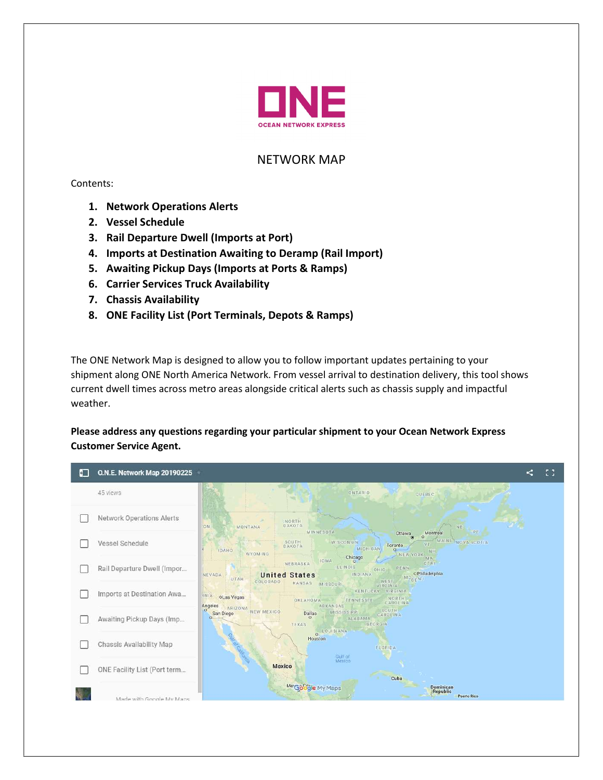

# NETWORK MAP

Contents:

- 1. Network Operations Alerts
- 2. Vessel Schedule
- 3. Rail Departure Dwell (Imports at Port)
- 4. Imports at Destination Awaiting to Deramp (Rail Import)
- 5. Awaiting Pickup Days (Imports at Ports & Ramps)
- 6. Carrier Services Truck Availability
- 7. Chassis Availability
- 8. ONE Facility List (Port Terminals, Depots & Ramps)

The ONE Network Map is designed to allow you to follow important updates pertaining to your shipment along ONE North America Network. From vessel arrival to destination delivery, this tool shows current dwell times across metro areas alongside critical alerts such as chassis supply and impactful weather.

Please address any questions regarding your particular shipment to your Ocean Network Express Customer Service Agent.

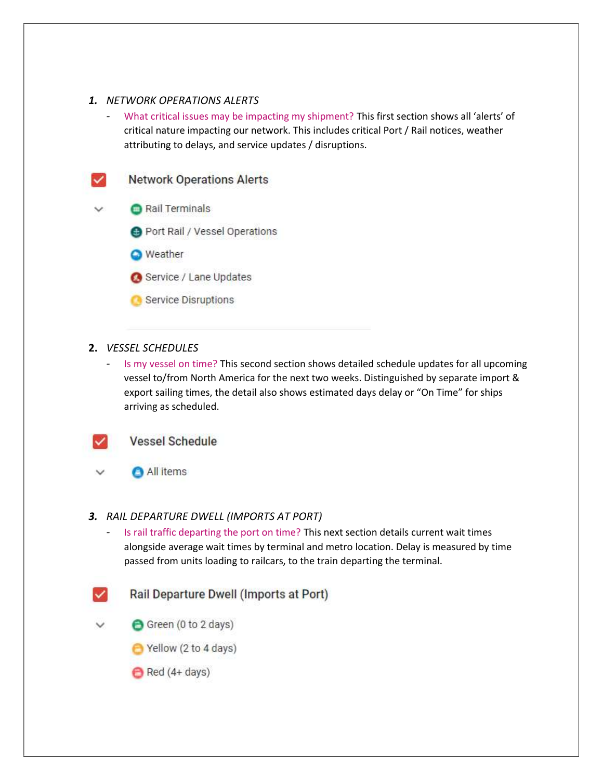## 1. NETWORK OPERATIONS ALERTS

- What critical issues may be impacting my shipment? This first section shows all 'alerts' of critical nature impacting our network. This includes critical Port / Rail notices, weather attributing to delays, and service updates / disruptions.



#### 2. VESSEL SCHEDULES

Is my vessel on time? This second section shows detailed schedule updates for all upcoming vessel to/from North America for the next two weeks. Distinguished by separate import & export sailing times, the detail also shows estimated days delay or "On Time" for ships arriving as scheduled.



## **Vessel Schedule**

All items

#### 3. RAIL DEPARTURE DWELL (IMPORTS AT PORT)

- Is rail traffic departing the port on time? This next section details current wait times alongside average wait times by terminal and metro location. Delay is measured by time passed from units loading to railcars, to the train departing the terminal.
- Rail Departure Dwell (Imports at Port)
- $\checkmark$ Green (0 to 2 days)
	- Yellow (2 to 4 days)
	- Red (4+ days)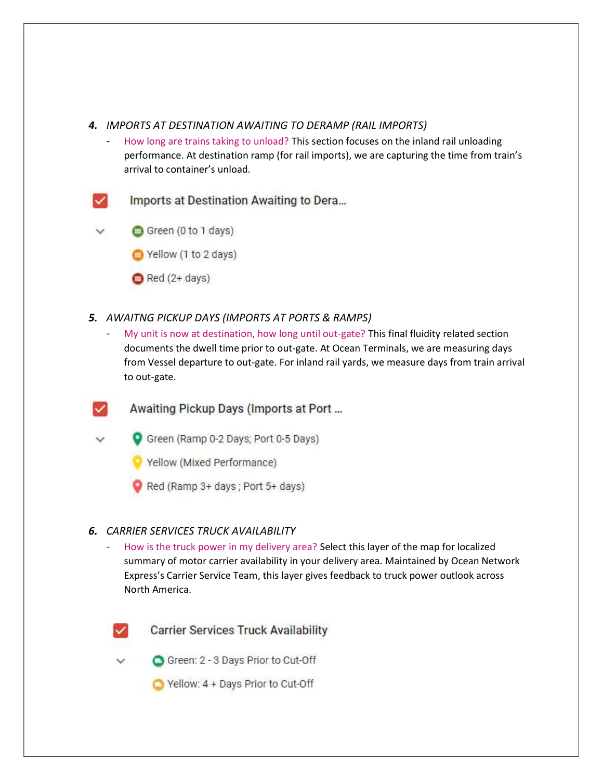## 4. IMPORTS AT DESTINATION AWAITING TO DERAMP (RAIL IMPORTS)

- How long are trains taking to unload? This section focuses on the inland rail unloading performance. At destination ramp (for rail imports), we are capturing the time from train's arrival to container's unload.
- Imports at Destination Awaiting to Dera...
- Green (0 to 1 days)
	- Yellow (1 to 2 days)
	- $\bigcirc$  Red (2+ days)
- 5. AWAITNG PICKUP DAYS (IMPORTS AT PORTS & RAMPS)
	- My unit is now at destination, how long until out-gate? This final fluidity related section documents the dwell time prior to out-gate. At Ocean Terminals, we are measuring days from Vessel departure to out-gate. For inland rail yards, we measure days from train arrival to out-gate.
	- Awaiting Pickup Days (Imports at Port ...
		- Green (Ramp 0-2 Days; Port 0-5 Days)
			- Yellow (Mixed Performance)
			- Red (Ramp 3+ days; Port 5+ days)

## 6. CARRIER SERVICES TRUCK AVAILABILITY

- How is the truck power in my delivery area? Select this layer of the map for localized summary of motor carrier availability in your delivery area. Maintained by Ocean Network Express's Carrier Service Team, this layer gives feedback to truck power outlook across North America.



**Carrier Services Truck Availability** 

- Green: 2 3 Days Prior to Cut-Off
- Yellow: 4 + Days Prior to Cut-Off